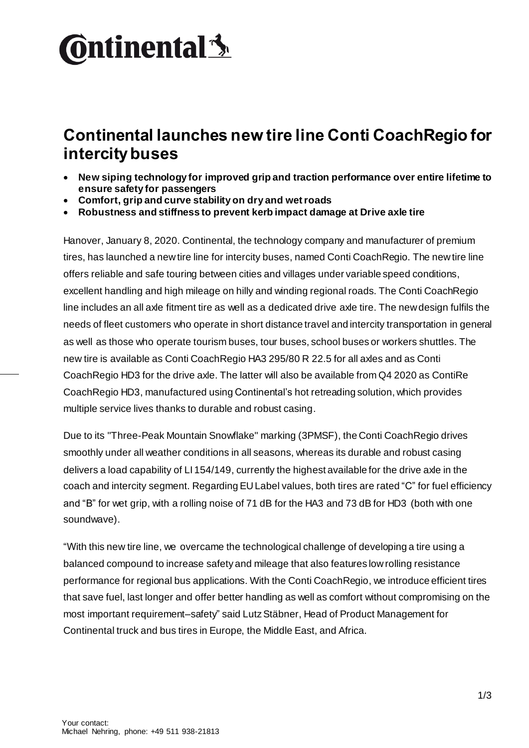## **Ontinental 3**

## **Continental launches new tire line Conti CoachRegio for intercity buses**

- **New siping technology for improved grip and traction performance over entire lifetime to ensure safety for passengers**
- **Comfort, grip and curve stability on dry and wet roads**
- **Robustness and stiffness to prevent kerb impact damage at Drive axle tire**

Hanover, January 8, 2020. Continental, the technology company and manufacturer of premium tires, has launched a new tire line for intercity buses, named Conti CoachRegio. The newtire line offers reliable and safe touring between cities and villages under variable speed conditions, excellent handling and high mileage on hilly and winding regional roads. The Conti CoachRegio line includes an all axle fitment tire as well as a dedicated drive axle tire. The new design fulfils the needs of fleet customers who operate in short distance travel and intercity transportation in general as well as those who operate tourism buses, tour buses, school buses or workers shuttles. The new tire is available as Conti CoachRegio HA3 295/80 R 22.5 for all axles and as Conti CoachRegio HD3 for the drive axle. The latter will also be available from Q4 2020 as ContiRe CoachRegio HD3, manufactured using Continental's hot retreading solution, which provides multiple service lives thanks to durable and robust casing.

Due to its "Three-Peak Mountain Snowflake" marking (3PMSF), the Conti CoachRegio drives smoothly under all weather conditions in all seasons, whereas its durable and robust casing delivers a load capability of LI 154/149, currently the highest available for the drive axle in the coach and intercity segment. Regarding EU Label values, both tires are rated "C" for fuel efficiency and "B" for wet grip, with a rolling noise of 71 dB for the HA3 and 73 dB for HD3 (both with one soundwave).

"With this new tire line, we overcame the technological challenge of developing a tire using a balanced compound to increase safety and mileage that also features low rolling resistance performance for regional bus applications. With the Conti CoachRegio, we introduce efficient tires that save fuel, last longer and offer better handling as well as comfort without compromising on the most important requirement–safety" said Lutz Stäbner, Head of Product Management for Continental truck and bus tires in Europe, the Middle East, and Africa.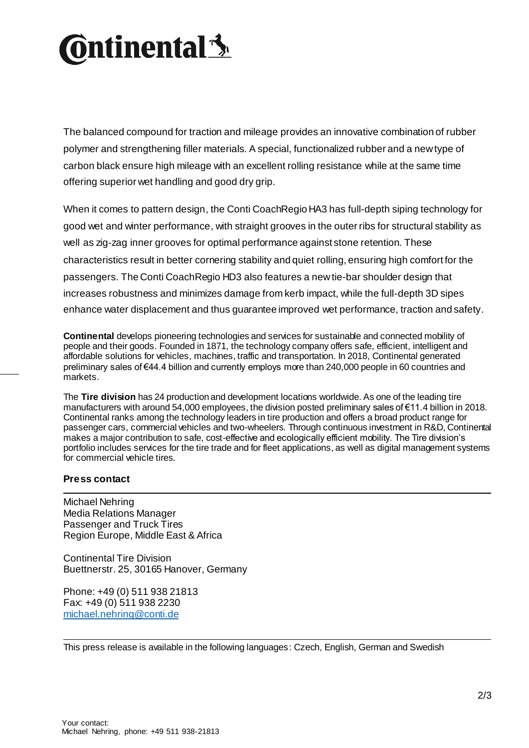## **Ontinental <u>S</u>**

The balanced compound for traction and mileage provides an innovative combination of rubber polymer and strengthening filler materials. A special, functionalized rubber and a new type of carbon black ensure high mileage with an excellent rolling resistance while at the same time offering superior wet handling and good dry grip.

When it comes to pattern design, the Conti CoachRegio HA3 has full-depth siping technology for good wet and winter performance, with straight grooves in the outer ribs for structural stability as well as zig-zag inner grooves for optimal performance against stone retention. These characteristics result in better cornering stability and quiet rolling, ensuring high comfort for the passengers. The Conti CoachRegio HD3 also features a new tie-bar shoulder design that increases robustness and minimizes damage from kerb impact, while the full-depth 3D sipes enhance water displacement and thus guarantee improved wet performance, traction and safety.

**Continental** develops pioneering technologies and services for sustainable and connected mobility of people and their goods. Founded in 1871, the technology company offers safe, efficient, intelligent and affordable solutions for vehicles, machines, traffic and transportation. In 2018, Continental generated preliminary sales of €44.4 billion and currently employs more than 240,000 people in 60 countries and markets.

The **Tire division** has 24 production and development locations worldwide. As one of the leading tire manufacturers with around 54,000 employees, the division posted preliminary sales of €11.4 billion in 2018. Continental ranks among the technology leaders in tire production and offers a broad product range for passenger cars, commercial vehicles and two-wheelers. Through continuous investment in R&D, Continental makes a major contribution to safe, cost-effective and ecologically efficient mobility. The Tire division's portfolio includes services for the tire trade and for fleet applications, as well as digital management systems for commercial vehicle tires.

## **Press contact**

Michael Nehring Media Relations Manager Passenger and Truck Tires Region Europe, Middle East & Africa

Continental Tire Division Buettnerstr. 25, 30165 Hanover, Germany

Phone: +49 (0) 511 938 21813 Fax: +49 (0) 511 938 2230 [michael.nehring@conti.de](mailto:michael.nehring@conti.de)

This press release is available in the following languages: Czech, English, German and Swedish